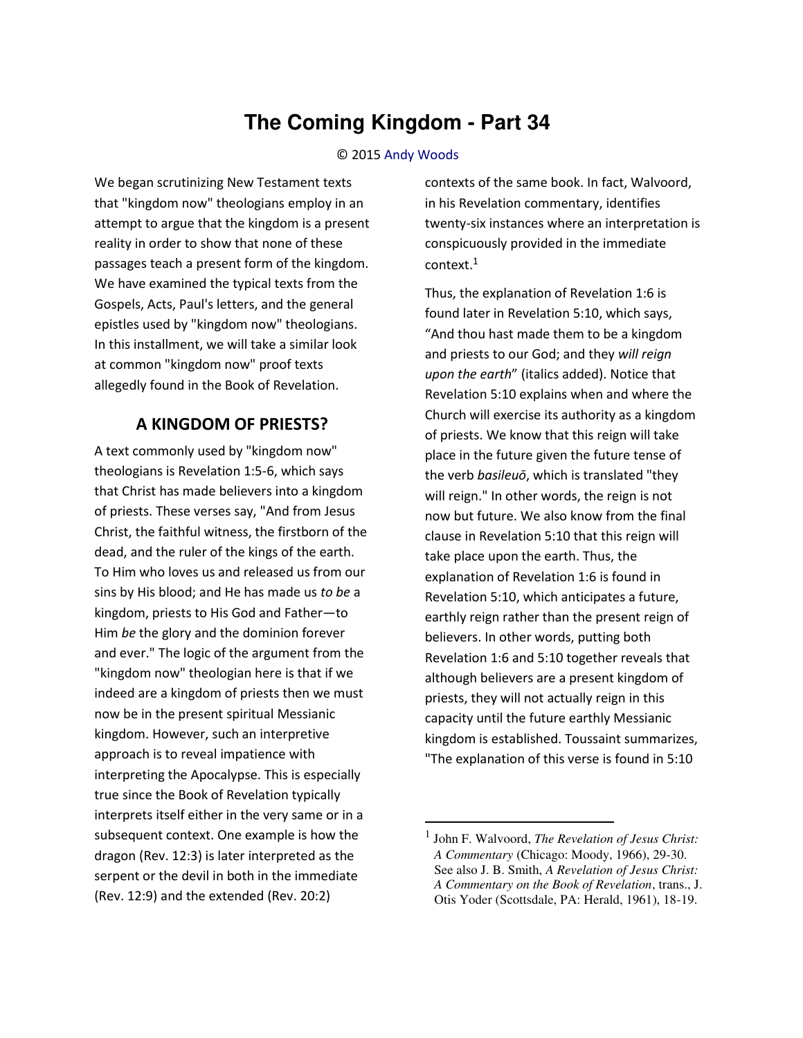# **The Coming Kingdom - Part 34**

#### © 2015 [Andy Woods](http://www.spiritandtruth.org/id/aw.htm)

We began scrutinizing New Testament texts that "kingdom now" theologians employ in an attempt to argue that the kingdom is a present reality in order to show that none of these passages teach a present form of the kingdom. We have examined the typical texts from the Gospels, Acts, Paul's letters, and the general epistles used by "kingdom now" theologians. In this installment, we will take a similar look at common "kingdom now" proof texts allegedly found in the Book of Revelation.

#### **A KINGDOM OF PRIESTS?**

A text commonly used by "kingdom now" theologians is Revelation 1:5-6, which says that Christ has made believers into a kingdom of priests. These verses say, "And from Jesus Christ, the faithful witness, the firstborn of the dead, and the ruler of the kings of the earth. To Him who loves us and released us from our sins by His blood; and He has made us *to be* a kingdom, priests to His God and Father—to Him *be* the glory and the dominion forever and ever." The logic of the argument from the "kingdom now" theologian here is that if we indeed are a kingdom of priests then we must now be in the present spiritual Messianic kingdom. However, such an interpretive approach is to reveal impatience with interpreting the Apocalypse. This is especially true since the Book of Revelation typically interprets itself either in the very same or in a subsequent context. One example is how the dragon (Rev. 12:3) is later interpreted as the serpent or the devil in both in the immediate (Rev. 12:9) and the extended (Rev. 20:2)

contexts of the same book. In fact, Walvoord, in his Revelation commentary, identifies twenty-six instances where an interpretation is conspicuously provided in the immediate context. $^1$ 

Thus, the explanation of Revelation 1:6 is found later in Revelation 5:10, which says, ͞And thou hast made them to be a kingdom and priests to our God; and they *will reign upon the earth*͟ (italics added). Notice that Revelation 5:10 explains when and where the Church will exercise its authority as a kingdom of priests. We know that this reign will take place in the future given the future tense of the verb *basileuō*, which is translated "they will reign." In other words, the reign is not now but future. We also know from the final clause in Revelation 5:10 that this reign will take place upon the earth. Thus, the explanation of Revelation 1:6 is found in Revelation 5:10, which anticipates a future, earthly reign rather than the present reign of believers. In other words, putting both Revelation 1:6 and 5:10 together reveals that although believers are a present kingdom of priests, they will not actually reign in this capacity until the future earthly Messianic kingdom is established. Toussaint summarizes, "The explanation of this verse is found in 5:10

l

<sup>1</sup> John F. Walvoord, *The Revelation of Jesus Christ: A Commentary* (Chicago: Moody, 1966), 29-30. See also J. B. Smith, *A Revelation of Jesus Christ: A Commentary on the Book of Revelation*, trans., J. Otis Yoder (Scottsdale, PA: Herald, 1961), 18-19.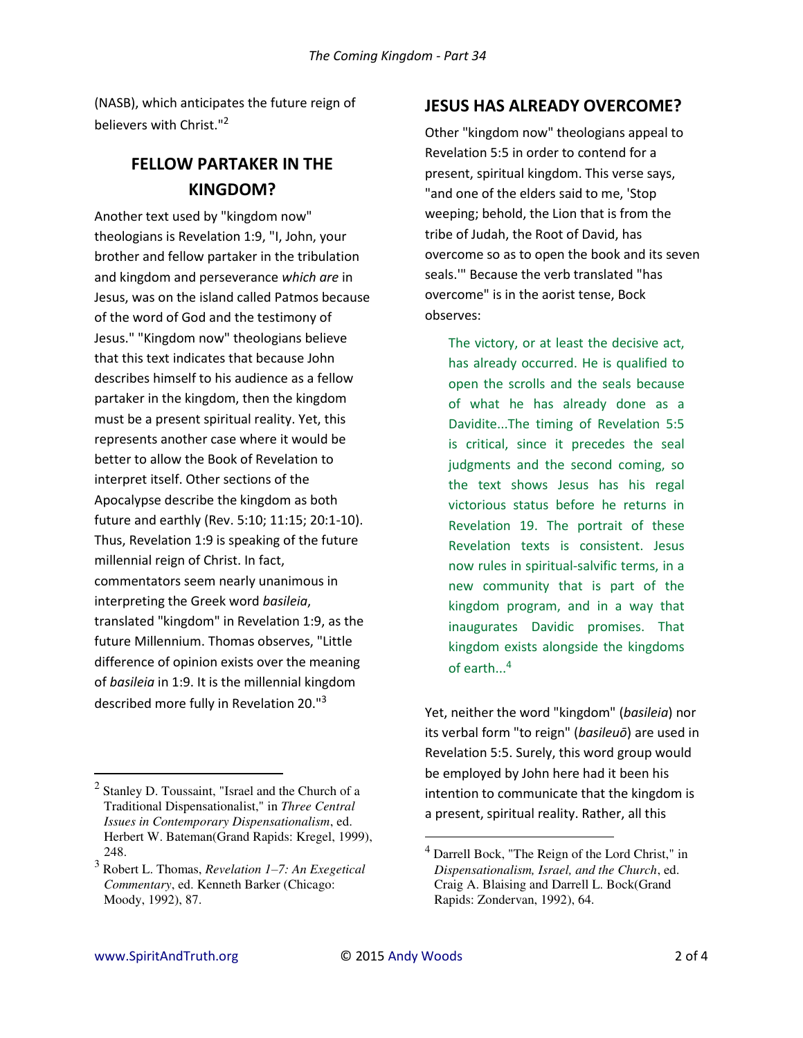(NASB), which anticipates the future reign of believers with Christ."<sup>2</sup>

# **FELLOW PARTAKER IN THE KINGDOM?**

Another text used by "kingdom now" theologians is Revelation 1:9, "I, John, your brother and fellow partaker in the tribulation and kingdom and perseverance *which are* in Jesus, was on the island called Patmos because of the word of God and the testimony of Jesus." "Kingdom now" theologians believe that this text indicates that because John describes himself to his audience as a fellow partaker in the kingdom, then the kingdom must be a present spiritual reality. Yet, this represents another case where it would be better to allow the Book of Revelation to interpret itself. Other sections of the Apocalypse describe the kingdom as both future and earthly (Rev. 5:10; 11:15; 20:1-10). Thus, Revelation 1:9 is speaking of the future millennial reign of Christ. In fact, commentators seem nearly unanimous in interpreting the Greek word *basileia*, translated "kingdom" in Revelation 1:9, as the future Millennium. Thomas observes, "Little difference of opinion exists over the meaning of *basileia* in 1:9. It is the millennial kingdom described more fully in Revelation 20."<sup>3</sup>

### **JESUS HAS ALREADY OVERCOME?**

Other "kingdom now" theologians appeal to Revelation 5:5 in order to contend for a present, spiritual kingdom. This verse says, "and one of the elders said to me, 'Stop weeping; behold, the Lion that is from the tribe of Judah, the Root of David, has overcome so as to open the book and its seven seals.'" Because the verb translated "has overcome" is in the aorist tense, Bock observes:

The victory, or at least the decisive act, has already occurred. He is qualified to open the scrolls and the seals because of what he has already done as a Davidite...The timing of Revelation 5:5 is critical, since it precedes the seal judgments and the second coming, so the text shows Jesus has his regal victorious status before he returns in Revelation 19. The portrait of these Revelation texts is consistent. Jesus now rules in spiritual-salvific terms, in a new community that is part of the kingdom program, and in a way that inaugurates Davidic promises. That kingdom exists alongside the kingdoms of earth...<sup>4</sup>

Yet, neither the word "kingdom" (*basileia*) nor its verbal form "to reign" (*basileuō*) are used in Revelation 5:5. Surely, this word group would be employed by John here had it been his intention to communicate that the kingdom is a present, spiritual reality. Rather, all this

 $\overline{a}$ 

 $\overline{a}$ 

<sup>&</sup>lt;sup>2</sup> Stanley D. Toussaint, "Israel and the Church of a Traditional Dispensationalist," in *Three Central Issues in Contemporary Dispensationalism*, ed. Herbert W. Bateman(Grand Rapids: Kregel, 1999), 248.

<sup>3</sup> Robert L. Thomas, *Revelation 1–7: An Exegetical Commentary*, ed. Kenneth Barker (Chicago: Moody, 1992), 87.

<sup>4</sup> Darrell Bock, "The Reign of the Lord Christ," in *Dispensationalism, Israel, and the Church*, ed. Craig A. Blaising and Darrell L. Bock(Grand Rapids: Zondervan, 1992), 64.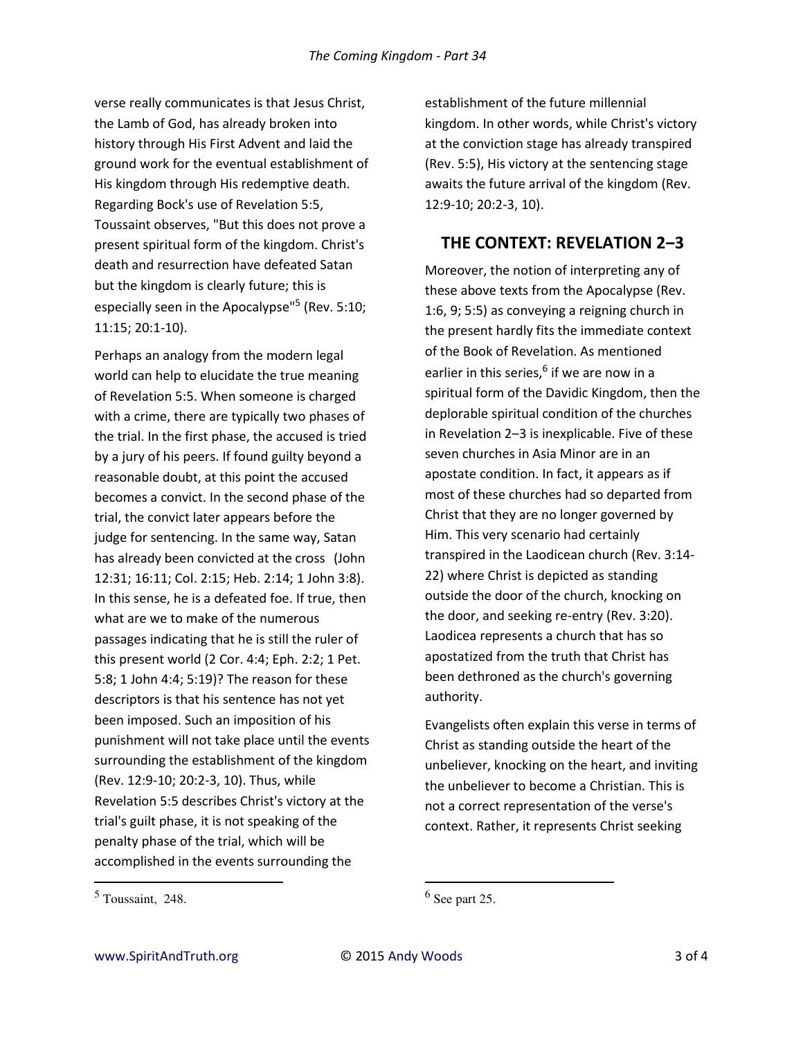verse really communicates is that Jesus Christ, the Lamb of God, has already broken into history through His First Advent and laid the ground work for the eventual establishment of His kingdom through His redemptive death. Regarding Bock's use of Revelation 5:5, Toussaint observes, "But this does not prove a present spiritual form of the kingdom. Christ's death and resurrection have defeated Satan but the kingdom is clearly future; this is especially seen in the Apocalypse"<sup>5</sup> (Rev. 5:10; 11:15; 20:1-10).

Perhaps an analogy from the modern legal world can help to elucidate the true meaning of Revelation 5:5. When someone is charged with a crime, there are typically two phases of the trial. In the first phase, the accused is tried by a jury of his peers. If found guilty beyond a reasonable doubt, at this point the accused becomes a convict. In the second phase of the trial, the convict later appears before the judge for sentencing. In the same way, Satan has already been convicted at the cross (John 12:31; 16:11; Col. 2:15; Heb. 2:14; 1 John 3:8). In this sense, he is a defeated foe. If true, then what are we to make of the numerous passages indicating that he is still the ruler of this present world (2 Cor. 4:4; Eph. 2:2; 1 Pet. 5:8; 1 John 4:4; 5:19)? The reason for these descriptors is that his sentence has not yet been imposed. Such an imposition of his punishment will not take place until the events surrounding the establishment of the kingdom (Rev. 12:9-10; 20:2-3, 10). Thus, while Revelation 5:5 describes Christ's victory at the trial's guilt phase, it is not speaking of the penalty phase of the trial, which will be accomplished in the events surrounding the

establishment of the future millennial kingdom. In other words, while Christ's victory at the conviction stage has already transpired (Rev. 5:5), His victory at the sentencing stage awaits the future arrival of the kingdom (Rev. 12:9-10; 20:2-3, 10).

## **THE CONTEXT: REVELATION 2-3**

Moreover, the notion of interpreting any of these above texts from the Apocalypse (Rev. 1:6, 9; 5:5) as conveying a reigning church in the present hardly fits the immediate context of the Book of Revelation. As mentioned earlier in this series,<sup>6</sup> if we are now in a spiritual form of the Davidic Kingdom, then the deplorable spiritual condition of the churches in Revelation 2-3 is inexplicable. Five of these seven churches in Asia Minor are in an apostate condition. In fact, it appears as if most of these churches had so departed from Christ that they are no longer governed by Him. This very scenario had certainly transpired in the Laodicean church (Rev. 3:14- 22) where Christ is depicted as standing outside the door of the church, knocking on the door, and seeking re-entry (Rev. 3:20). Laodicea represents a church that has so apostatized from the truth that Christ has been dethroned as the church's governing authority.

Evangelists often explain this verse in terms of Christ as standing outside the heart of the unbeliever, knocking on the heart, and inviting the unbeliever to become a Christian. This is not a correct representation of the verse's context. Rather, it represents Christ seeking

 $\overline{a}$ 

 $\overline{a}$ 

<sup>5</sup> Toussaint, 248.

 $<sup>6</sup>$  See part 25.</sup>